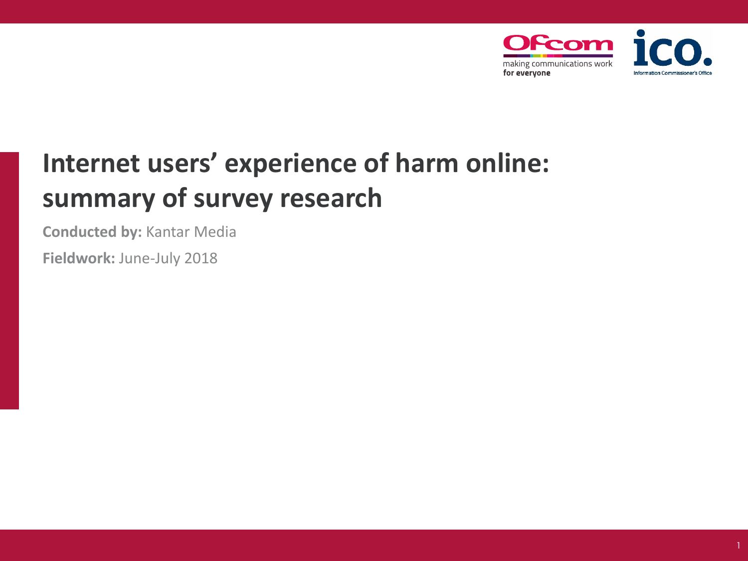

# **Internet users' experience of harm online: summary of survey research**

**Conducted by:** Kantar Media

**Fieldwork:** June-July 2018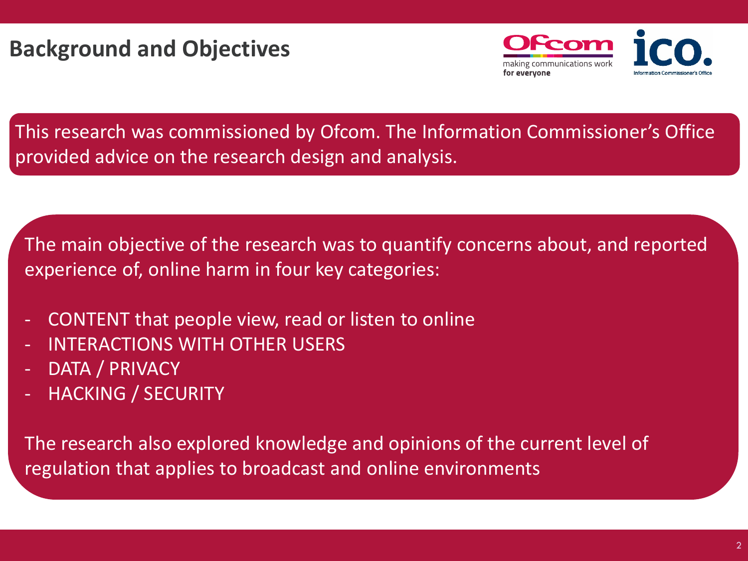

This research was commissioned by Ofcom. The Information Commissioner's Office provided advice on the research design and analysis.

The main objective of the research was to quantify concerns about, and reported experience of, online harm in four key categories:

- CONTENT that people view, read or listen to online
- INTERACTIONS WITH OTHER USERS
- DATA / PRIVACY
- HACKING / SECURITY

The research also explored knowledge and opinions of the current level of regulation that applies to broadcast and online environments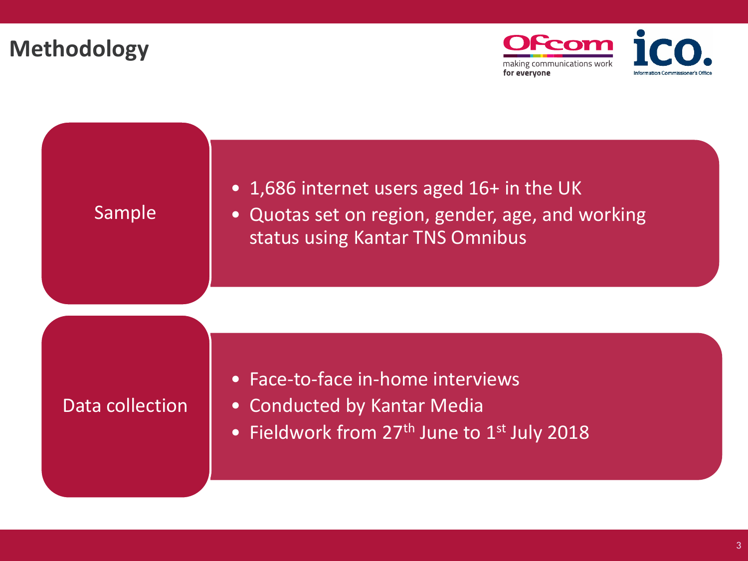## **Methodology**



## Sample

- 1,686 internet users aged 16+ in the UK
- Quotas set on region, gender, age, and working status using Kantar TNS Omnibus

### Data collection

- Face-to-face in-home interviews
- Conducted by Kantar Media
- Fieldwork from 27<sup>th</sup> June to 1<sup>st</sup> July 2018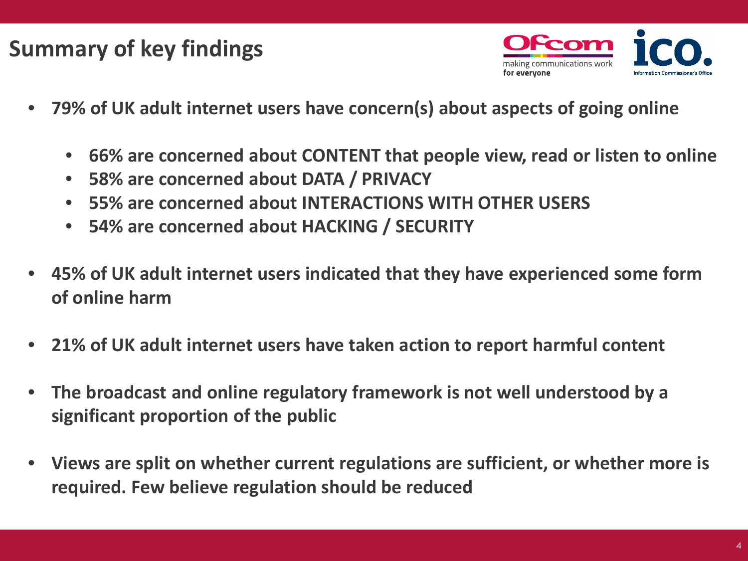## **Summary of key findings**



- **79% of UK adult internet users have concern(s) about aspects of going online**
	- **66% are concerned about CONTENT that people view, read or listen to online**
	- **58% are concerned about DATA / PRIVACY**
	- **55% are concerned about INTERACTIONS WITH OTHER USERS**
	- **54% are concerned about HACKING / SECURITY**
- **45% of UK adult internet users indicated that they have experienced some form of online harm**
- **21% of UK adult internet users have taken action to report harmful content**
- **The broadcast and online regulatory framework is not well understood by a significant proportion of the public**
- **Views are split on whether current regulations are sufficient, or whether more is required. Few believe regulation should be reduced**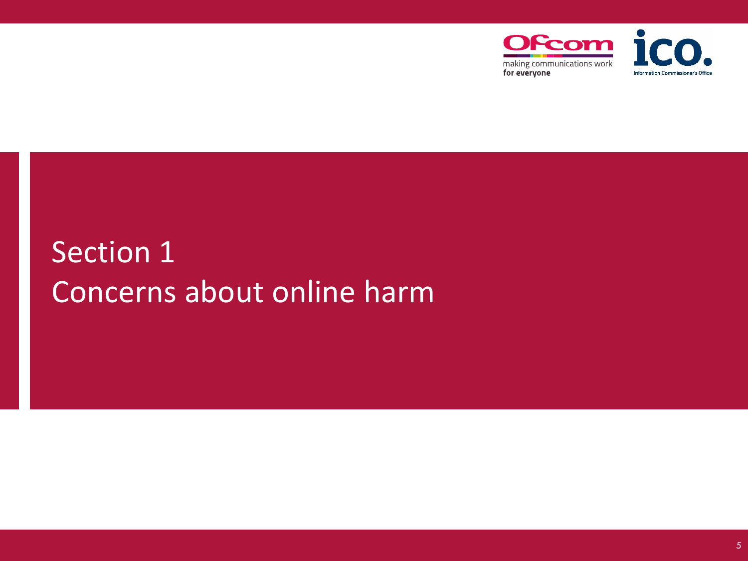

# Section 1 Concerns about online harm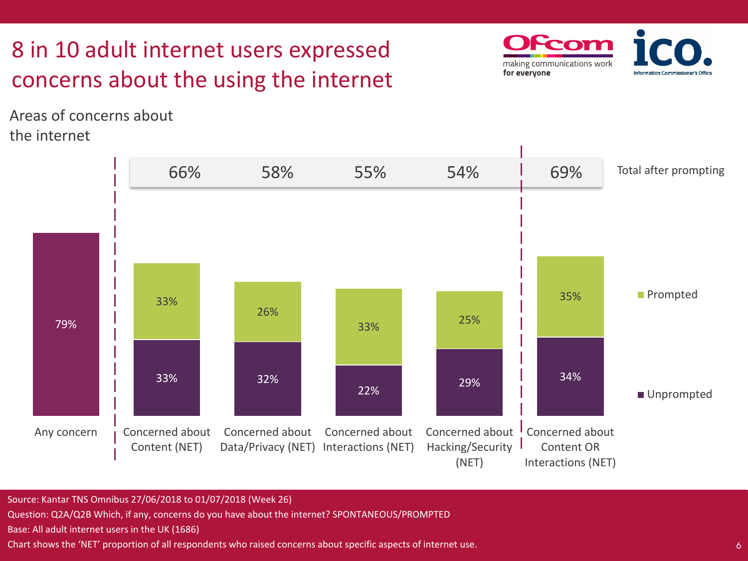# 8 in 10 adult internet users expressed concerns about the using the internet

Areas of concerns about the internet





Source: Kantar TNS Omnibus 27/06/2018 to 01/07/2018 (Week 26)

Question: Q2A/Q2B Which, if any, concerns do you have about the internet? SPONTANEOUS/PROMPTED

Base: All adult internet users in the UK (1686)

Chart shows the 'NET' proportion of all respondents who raised concerns about specific aspects of internet use.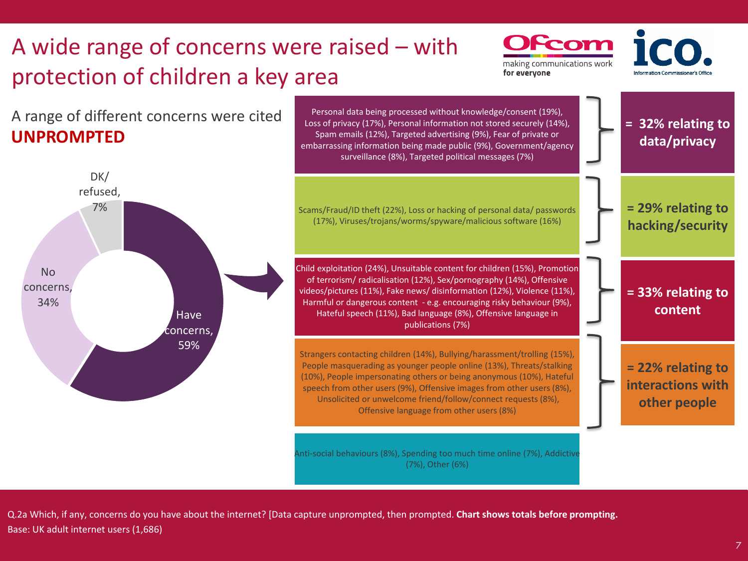

Q.2a Which, if any, concerns do you have about the internet? [Data capture unprompted, then prompted. **Chart shows totals before prompting.** Base: UK adult internet users (1,686)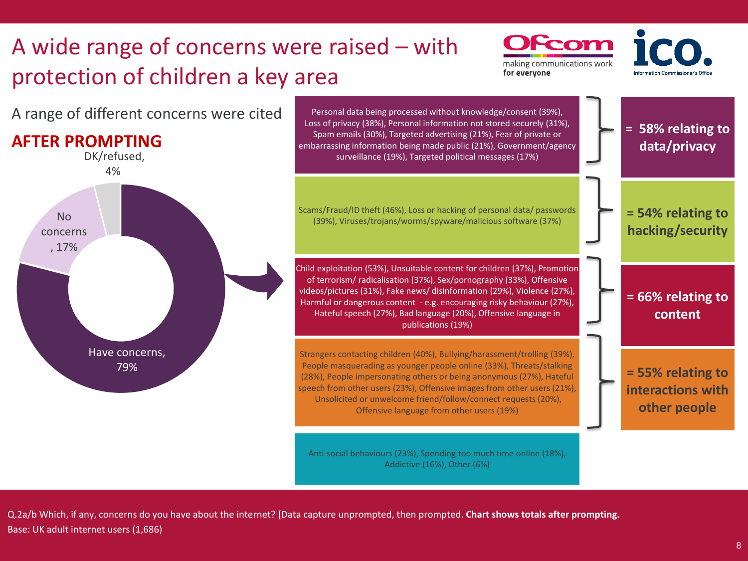

Q.2a/b Which, if any, concerns do you have about the internet? [Data capture unprompted, then prompted. **Chart shows totals after prompting.** Base: UK adult internet users (1,686)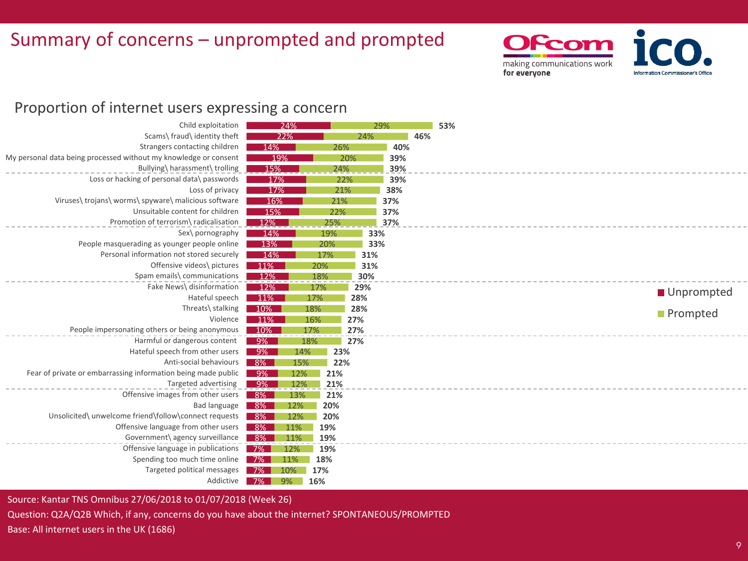## Summary of concerns – unprompted and prompted



### Proportion of internet users expressing a concern

| Child exploitation                                               | 24%              |            | 29% |     |  |
|------------------------------------------------------------------|------------------|------------|-----|-----|--|
| Scams\ fraud\ identity theft                                     | 22%              |            | 24% | 46% |  |
| Strangers contacting children                                    | 14%              | 26%        | 40% |     |  |
| My personal data being processed without my knowledge or consent | 19%              | 20%        | 39% |     |  |
| Bullying\ harassment\ trolling                                   | 15%              | 24%        | 39% |     |  |
| Loss or hacking of personal data\ passwords                      | 17%              | 22%        | 39% |     |  |
| Loss of privacy                                                  | 17%              | 21%        | 38% |     |  |
| Viruses\trojans\worms\spyware\malicious software                 | 16%              | 21%        | 37% |     |  |
| Unsuitable content for children                                  | 15%              | 22%        | 37% |     |  |
| Promotion of terrorism\ radicalisation                           | 12%              | 25%        | 37% |     |  |
| Sex\ pornography                                                 | 14%              | 19%        | 33% |     |  |
| People masquerading as younger people online                     | 13%              | 20%        | 33% |     |  |
| Personal information not stored securely                         | 14%              | 17%        | 31% |     |  |
| Offensive videos\ pictures                                       | $11\%$           | 20%        | 31% |     |  |
| Spam emails\ communications                                      | 12%              | 18%        | 30% |     |  |
| Fake News\ disinformation                                        | 12%              | 17%        | 29% |     |  |
| Hateful speech                                                   | $11\%$           | 17%        | 28% |     |  |
| Threats\ stalking                                                | 10%              | 18%        | 28% |     |  |
| Violence                                                         | 11%              | 16%        | 27% |     |  |
| People impersonating others or being anonymous                   | 10%              | 17%        | 27% |     |  |
| Harmful or dangerous content                                     | $9\%$            | 18%        | 27% |     |  |
| Hateful speech from other users                                  | $-9\%$           | 23%<br>14% |     |     |  |
| Anti-social behaviours                                           | $8\%$            | 15%<br>22% |     |     |  |
| Fear of private or embarrassing information being made public    | $9\%$            | 12%<br>21% |     |     |  |
| Targeted advertising                                             | $-9\%$           | 12%<br>21% |     |     |  |
| Offensive images from other users                                | 8%<br>13%        | 21%        |     |     |  |
| Bad language                                                     | 8%  <br>12%      | 20%        |     |     |  |
| Unsolicited\ unwelcome friend\follow\connect requests            | 8%<br>12%        | 20%        |     |     |  |
| Offensive language from other users                              | $8\%$<br>11%     | 19%        |     |     |  |
| Government\ agency surveillance                                  | $8\%$<br>11%     | 19%        |     |     |  |
| Offensive language in publications                               | $7\%$<br>12%     | 19%        |     |     |  |
| Spending too much time online                                    | <b>7%</b><br>11% | 18%        |     |     |  |
| Targeted political messages                                      | 10%              | 17%        |     |     |  |
| Addictive                                                        | 9%               | 16%        |     |     |  |
|                                                                  | $7\%$            |            |     |     |  |

Source: Kantar TNS Omnibus 27/06/2018 to 01/07/2018 (Week 26)

Question: Q2A/Q2B Which, if any, concerns do you have about the internet? SPONTANEOUS/PROMPTED

Base: All internet users in the UK (1686)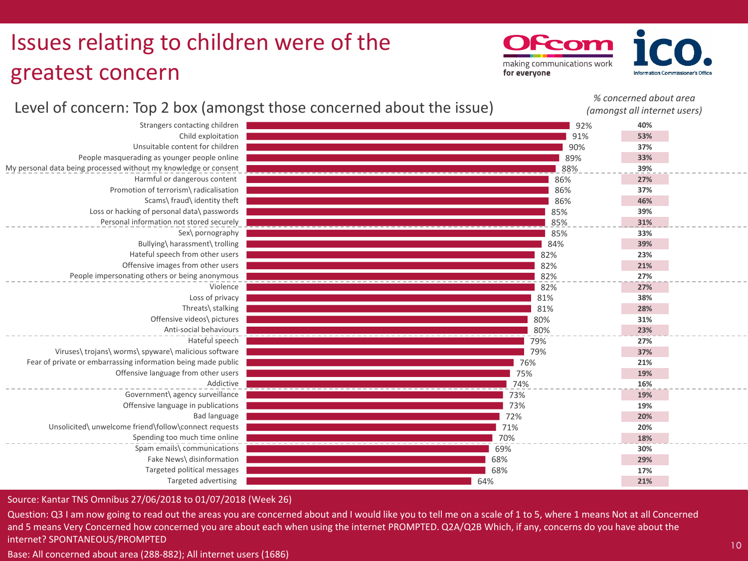# Issues relating to children were of the greatest concern

From making communications work for everyone

*% concerned about area*

#### 92% 91% 90% 89% 88% 86% 86% 86% 85% 85% 85% 84% 82% 82% 82% 82% 81% 81% 80% 80% 79% 79% 76% 75% 74% 73% 73% 72% 71% 70% 69% 68% 68% 64% Strangers contacting children Child exploitation Unsuitable content for children People masquerading as younger people online My personal data being processed without my knowledge or consent Harmful or dangerous content Promotion of terrorism\ radicalisation Scams\ fraud\ identity theft Loss or hacking of personal data\ passwords Personal information not stored securely Sex\ pornography Bullying\ harassment\ trolling Hateful speech from other users Offensive images from other users People impersonating others or being anonymous Violence Loss of privacy Threats\ stalking Offensive videos\ pictures Anti-social behaviours Hateful speech Viruses\ trojans\ worms\ spyware\ malicious software Fear of private or embarrassing information being made public Offensive language from other users Addictive Government\ agency surveillance Offensive language in publications Bad language Unsolicited\ unwelcome friend\follow\connect requests Spending too much time online Spam emails\ communications Fake News\ disinformation Targeted political messages Targeted advertising **40% 53% 37% 33% 39% 27% 37% 46% 39% 31% 33% 39% 23% 21% 27% 27% 38% 28% 31% 23% 27% 37% 21% 19% 16% 19% 19% 20% 20% 18% 30% 29% 17% 21%** *(amongst all internet users)*

### Level of concern: Top 2 box (amongst those concerned about the issue)

Source: Kantar TNS Omnibus 27/06/2018 to 01/07/2018 (Week 26)

Question: Q3 I am now going to read out the areas you are concerned about and I would like you to tell me on a scale of 1 to 5, where 1 means Not at all Concerned and 5 means Very Concerned how concerned you are about each when using the internet PROMPTED. Q2A/Q2B Which, if any, concerns do you have about the internet? SPONTANEOUS/PROMPTED

Base: All concerned about area (288-882); All internet users (1686)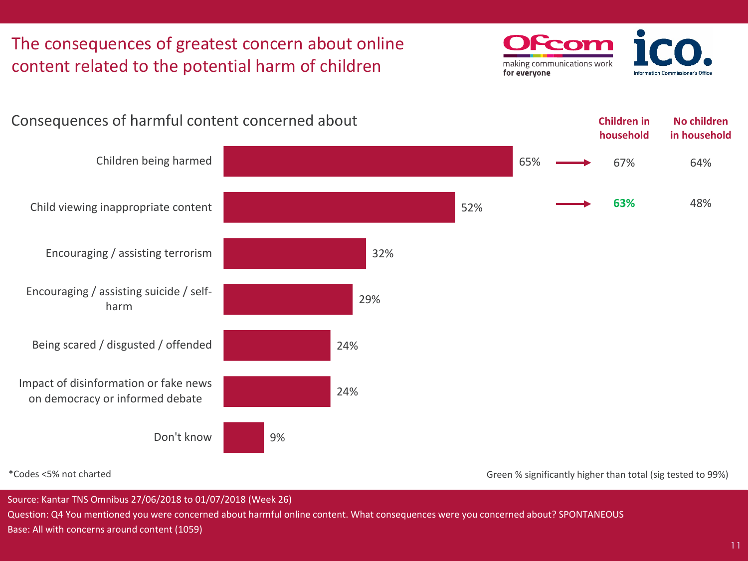

\*Codes <5% not charted

Green % significantly higher than total (sig tested to 99%)

Source: Kantar TNS Omnibus 27/06/2018 to 01/07/2018 (Week 26)

Question: Q4 You mentioned you were concerned about harmful online content. What consequences were you concerned about? SPONTANEOUS Base: All with concerns around content (1059)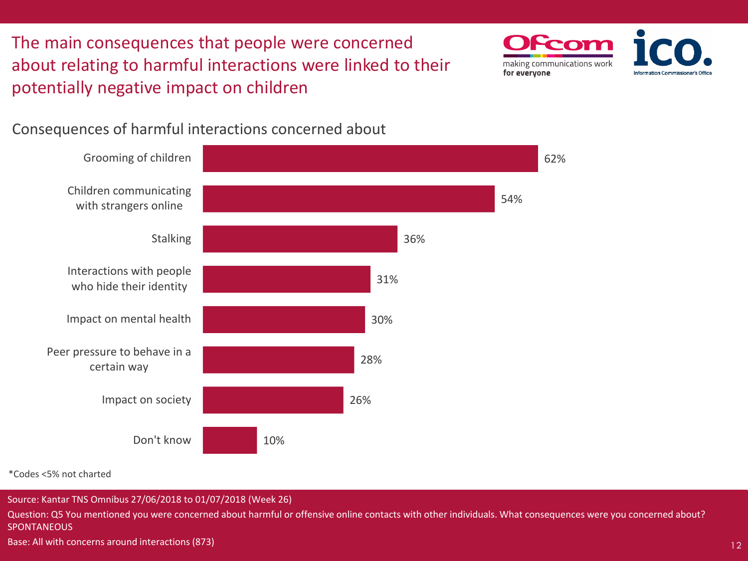The main consequences that people were concerned about relating to harmful interactions were linked to their potentially negative impact on children



Consequences of harmful interactions concerned about



\*Codes <5% not charted

Source: Kantar TNS Omnibus 27/06/2018 to 01/07/2018 (Week 26)

Question: Q5 You mentioned you were concerned about harmful or offensive online contacts with other individuals. What consequences were you concerned about? SPONTANEOUS

Base: All with concerns around interactions (873)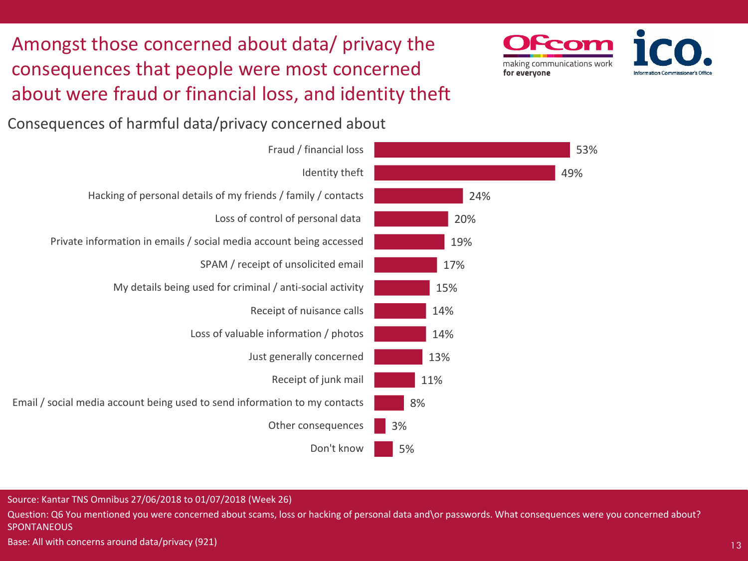Amongst those concerned about data/ privacy the consequences that people were most concerned about were fraud or financial loss, and identity theft



Consequences of harmful data/privacy concerned about



Source: Kantar TNS Omnibus 27/06/2018 to 01/07/2018 (Week 26)

Question: Q6 You mentioned you were concerned about scams, loss or hacking of personal data and\or passwords. What consequences were you concerned about? **SPONTANEOUS** 

Base: All with concerns around data/privacy (921)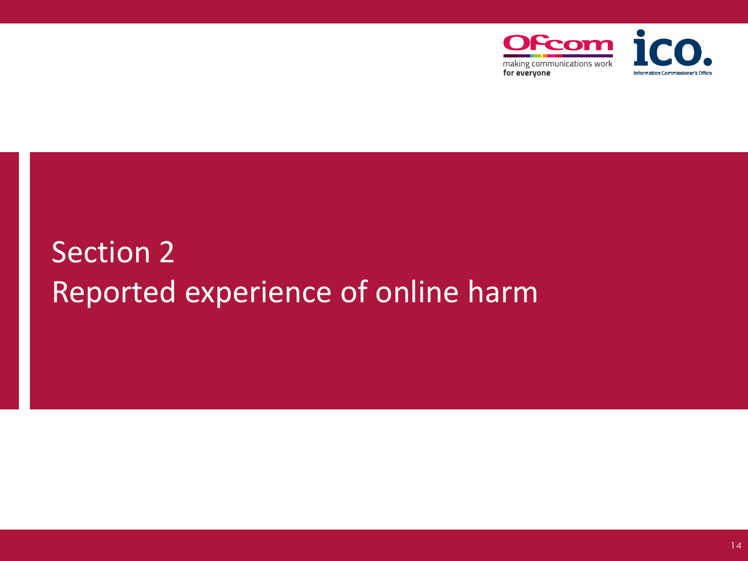

# Section 2 Reported experience of online harm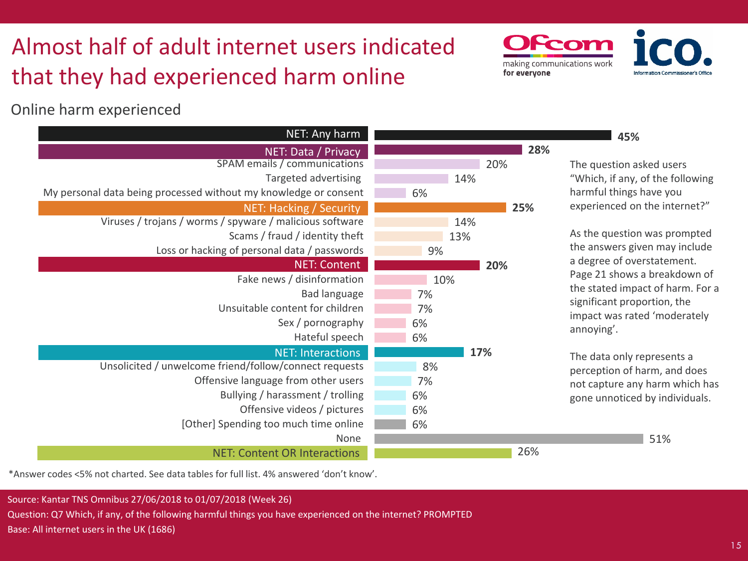# Almost half of adult internet users indicated that they had experienced harm online

Online harm experienced

| NET: Any harm                                                    |     |     |
|------------------------------------------------------------------|-----|-----|
| NET: Data / Privacy                                              |     | 28% |
| SPAM emails / communications                                     |     | 20% |
| Targeted advertising                                             |     | 14% |
| My personal data being processed without my knowledge or consent | 6%  |     |
| NET: Hacking / Security                                          |     | 25% |
| Viruses / trojans / worms / spyware / malicious software         |     | 14% |
| Scams / fraud / identity theft                                   |     | 13% |
| Loss or hacking of personal data / passwords                     | 9%  |     |
| <b>NET: Content</b>                                              |     | 20% |
| Fake news / disinformation                                       | 10% |     |
| <b>Bad language</b>                                              | 7%  |     |
| Unsuitable content for children                                  | 7%  |     |
| Sex / pornography                                                | 6%  |     |
| Hateful speech                                                   | 6%  |     |
| <b>NET: Interactions</b>                                         |     | 17% |
| Unsolicited / unwelcome friend/follow/connect requests           | 8%  |     |
| Offensive language from other users                              | 7%  |     |
| Bullying / harassment / trolling                                 | 6%  |     |
| Offensive videos / pictures                                      | 6%  |     |
| [Other] Spending too much time online                            | 6%  |     |
| None                                                             |     |     |
| <b>NET: Content OR Interactions</b>                              |     | 26% |

**45%**

Scon

making communications work

for everyone

The question asked users "Which, if any, of the following harmful things have you experienced on the internet?"

As the question was prompted the answers given may include a degree of overstatement. Page 21 shows a breakdown of the stated impact of harm. For a significant proportion, the impact was rated 'moderately annoying'.

The data only represents a perception of harm, and does not capture any harm which has gone unnoticed by individuals.

51%

\*Answer codes <5% not charted. See data tables for full list. 4% answered 'don't know'.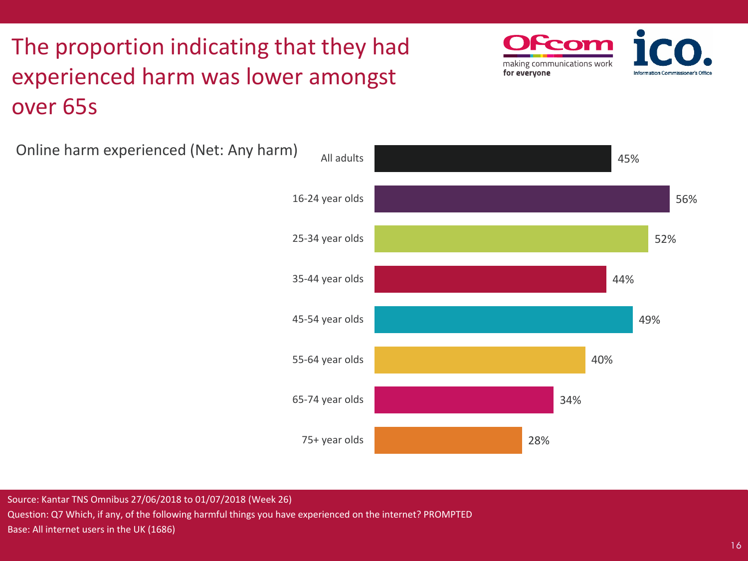# The proportion indicating that they had experienced harm was lower amongst over 65s

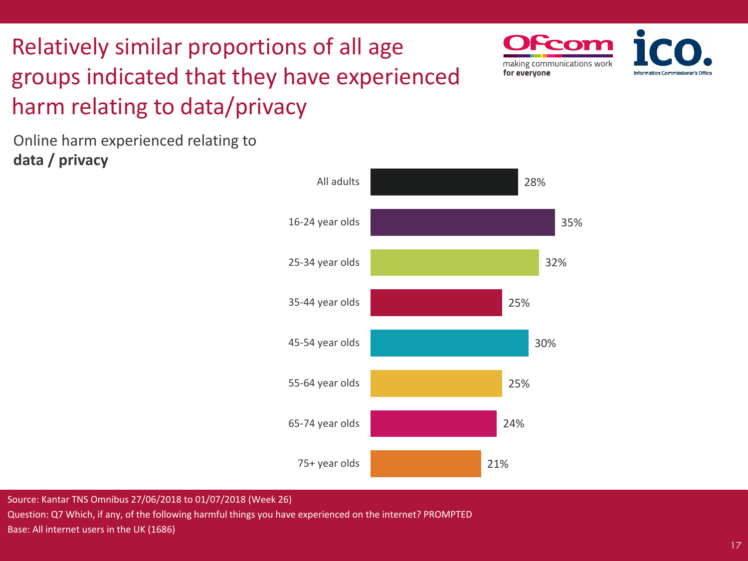# Relatively similar proportions of all age groups indicated that they have experienced harm relating to data/privacy



Online harm experienced relating to **data / privacy** 



Source: Kantar TNS Omnibus 27/06/2018 to 01/07/2018 (Week 26)

Question: Q7 Which, if any, of the following harmful things you have experienced on the internet? PROMPTED Base: All internet users in the UK (1686)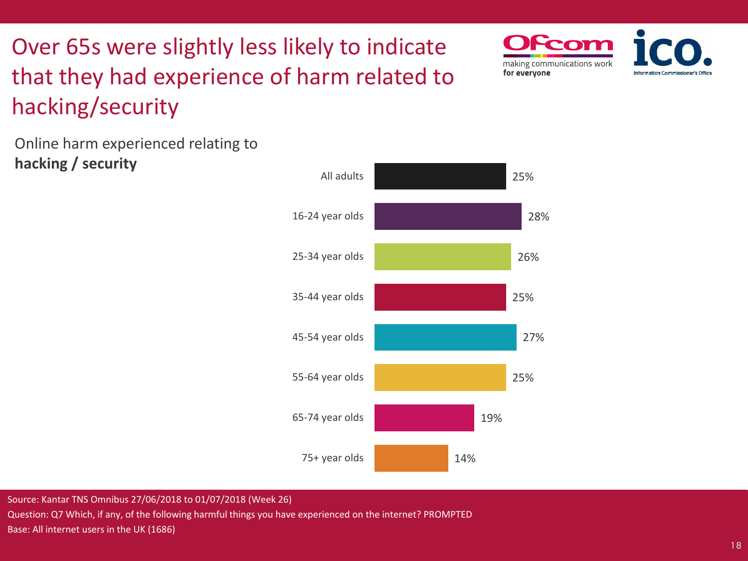Over 65s were slightly less likely to indicate that they had experience of harm related to hacking/security



Online harm experienced relating to **hacking / security**

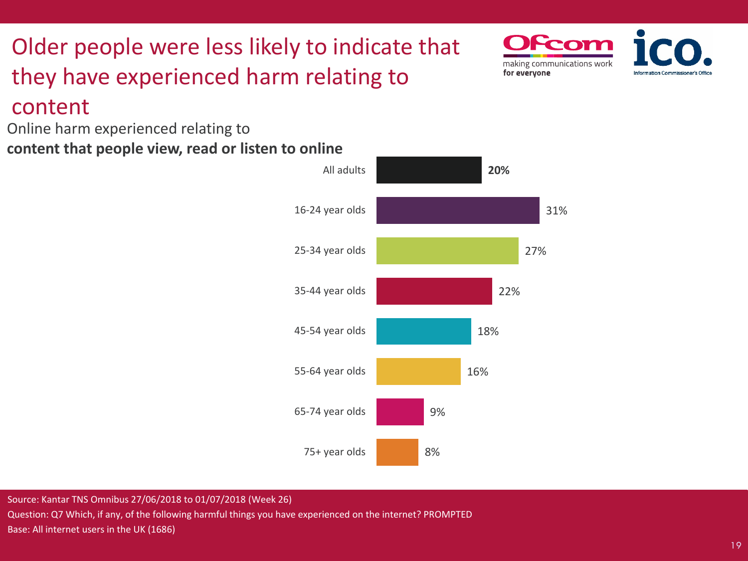## Older people were less likely to indicate that they have experienced harm relating to content

Online harm experienced relating to **content that people view, read or listen to online**



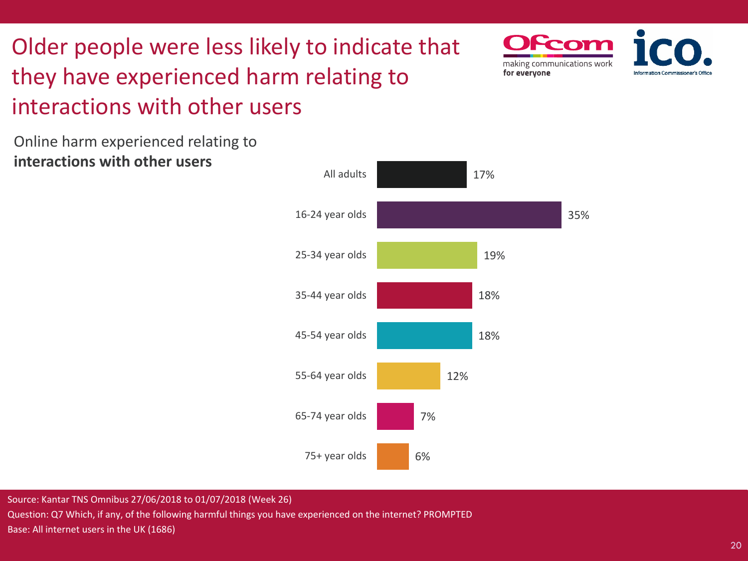# Older people were less likely to indicate that they have experienced harm relating to interactions with other users

Online harm experienced relating to **interactions with other users**



Foon

making communications work

for everyone

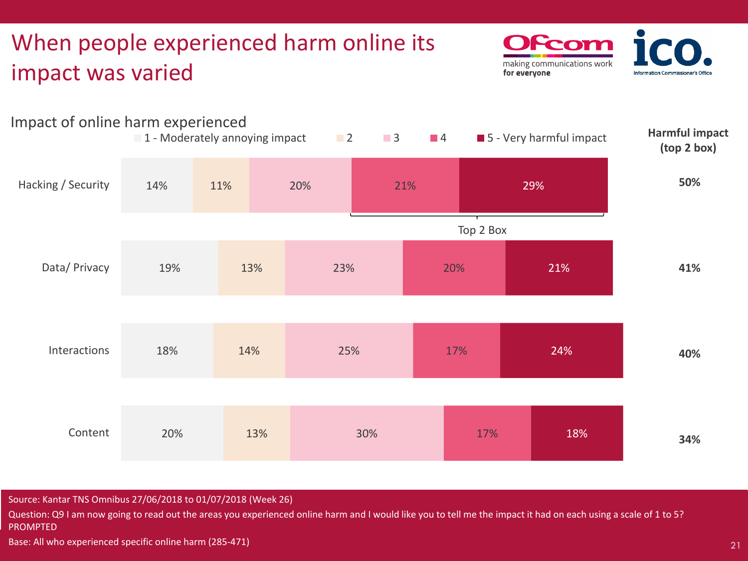## When people experienced harm online its impact was varied

From making communications work for everyone **Information Commissione** 



Source: Kantar TNS Omnibus 27/06/2018 to 01/07/2018 (Week 26)

Question: Q9 I am now going to read out the areas you experienced online harm and I would like you to tell me the impact it had on each using a scale of 1 to 5? PROMPTED

Base: All who experienced specific online harm (285-471)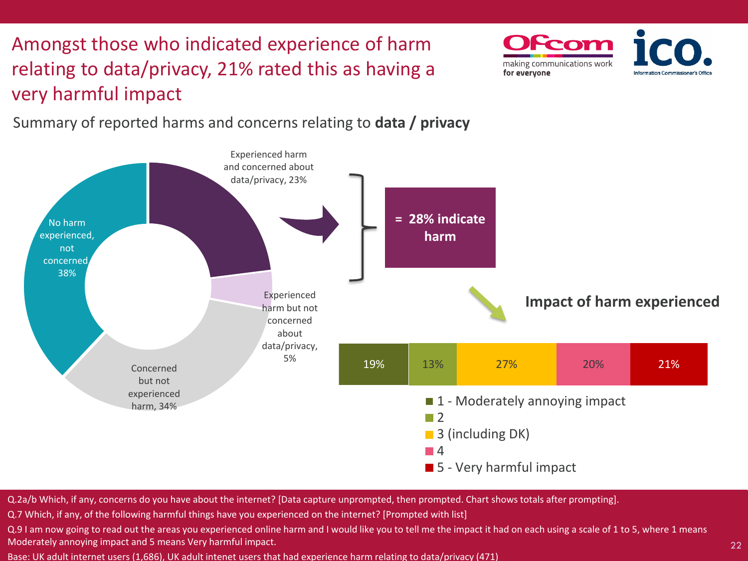Amongst those who indicated experience of harm relating to data/privacy, 21% rated this as having a very harmful impact



Summary of reported harms and concerns relating to **data / privacy** 



Q.2a/b Which, if any, concerns do you have about the internet? [Data capture unprompted, then prompted. Chart shows totals after prompting].

Q.7 Which, if any, of the following harmful things have you experienced on the internet? [Prompted with list]

Q.9 I am now going to read out the areas you experienced online harm and I would like you to tell me the impact it had on each using a scale of 1 to 5, where 1 means Moderately annoying impact and 5 means Very harmful impact.

Base: UK adult internet users (1,686), UK adult intenet users that had experience harm relating to data/privacy (471)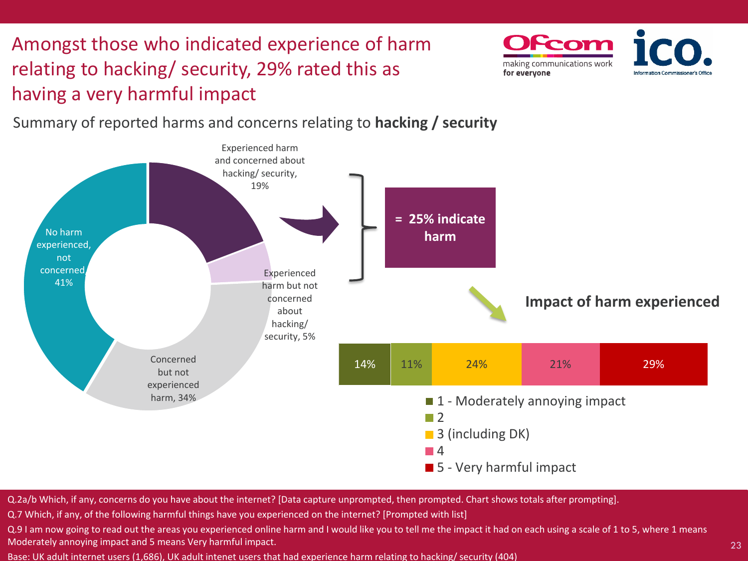Amongst those who indicated experience of harm relating to hacking/ security, 29% rated this as having a very harmful impact



Summary of reported harms and concerns relating to **hacking / security**



Q.2a/b Which, if any, concerns do you have about the internet? [Data capture unprompted, then prompted. Chart shows totals after prompting].

Q.7 Which, if any, of the following harmful things have you experienced on the internet? [Prompted with list]

Q.9 I am now going to read out the areas you experienced online harm and I would like you to tell me the impact it had on each using a scale of 1 to 5, where 1 means Moderately annoying impact and 5 means Very harmful impact.

Base: UK adult internet users (1,686), UK adult intenet users that had experience harm relating to hacking/ security (404)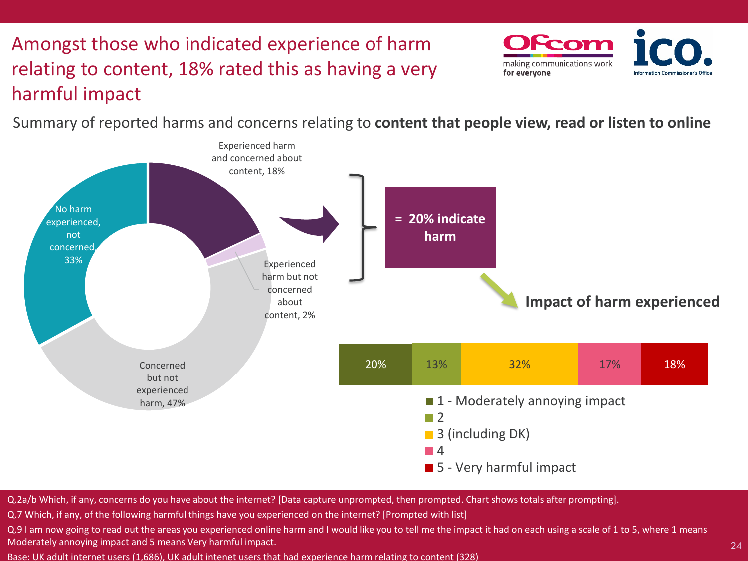## Amongst those who indicated experience of harm relating to content, 18% rated this as having a very harmful impact



Summary of reported harms and concerns relating to **content that people view, read or listen to online**



Q.2a/b Which, if any, concerns do you have about the internet? [Data capture unprompted, then prompted. Chart shows totals after prompting].

Q.7 Which, if any, of the following harmful things have you experienced on the internet? [Prompted with list]

Q.9 I am now going to read out the areas you experienced online harm and I would like you to tell me the impact it had on each using a scale of 1 to 5, where 1 means Moderately annoying impact and 5 means Very harmful impact.

Base: UK adult internet users (1,686), UK adult intenet users that had experience harm relating to content (328)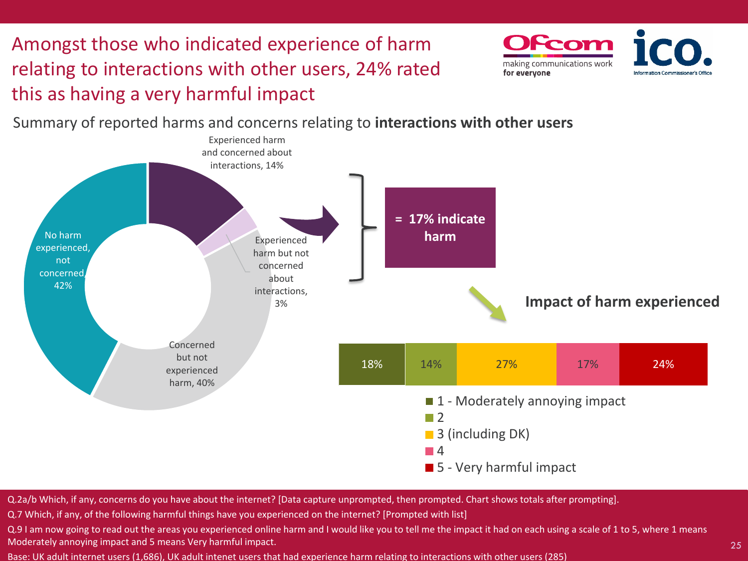Amongst those who indicated experience of harm relating to interactions with other users, 24% rated this as having a very harmful impact



Summary of reported harms and concerns relating to **interactions with other users**



Q.2a/b Which, if any, concerns do you have about the internet? [Data capture unprompted, then prompted. Chart shows totals after prompting].

Q.7 Which, if any, of the following harmful things have you experienced on the internet? [Prompted with list]

Q.9 I am now going to read out the areas you experienced online harm and I would like you to tell me the impact it had on each using a scale of 1 to 5, where 1 means Moderately annoying impact and 5 means Very harmful impact.

Base: UK adult internet users (1,686), UK adult intenet users that had experience harm relating to interactions with other users (285)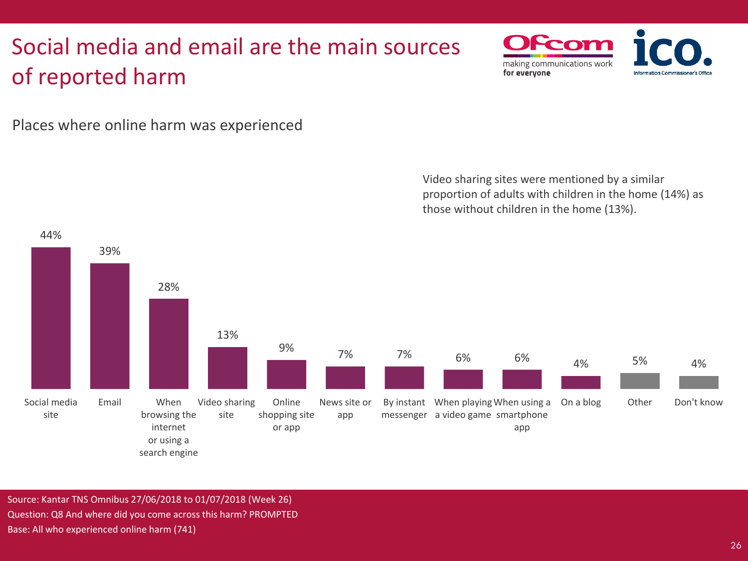## Social media and email are the main sources of reported harm



Places where online harm was experienced



Source: Kantar TNS Omnibus 27/06/2018 to 01/07/2018 (Week 26) Question: Q8 And where did you come across this harm? PROMPTED Base: All who experienced online harm (741)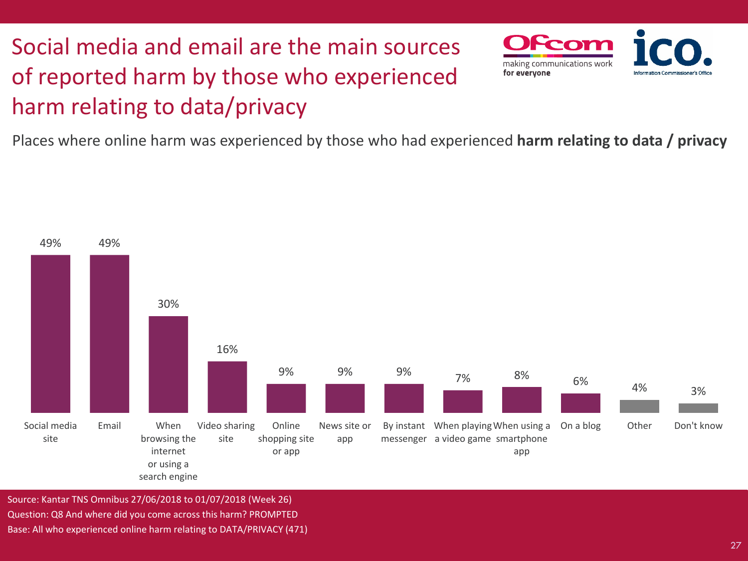# Social media and email are the main sources of reported harm by those who experienced harm relating to data/privacy



Places where online harm was experienced by those who had experienced **harm relating to data / privacy**



Source: Kantar TNS Omnibus 27/06/2018 to 01/07/2018 (Week 26) Question: Q8 And where did you come across this harm? PROMPTED Base: All who experienced online harm relating to DATA/PRIVACY (471)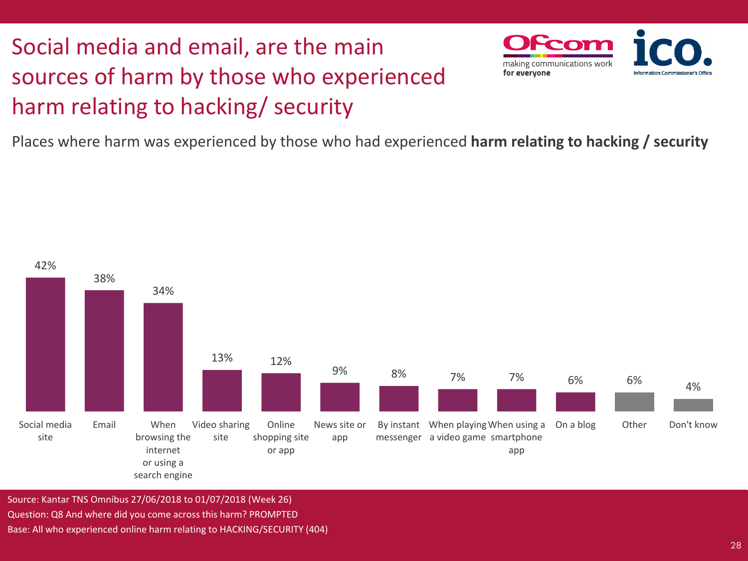# Social media and email, are the main sources of harm by those who experienced harm relating to hacking/ security



Places where harm was experienced by those who had experienced **harm relating to hacking / security**



Source: Kantar TNS Omnibus 27/06/2018 to 01/07/2018 (Week 26) Question: Q8 And where did you come across this harm? PROMPTED Base: All who experienced online harm relating to HACKING/SECURITY (404)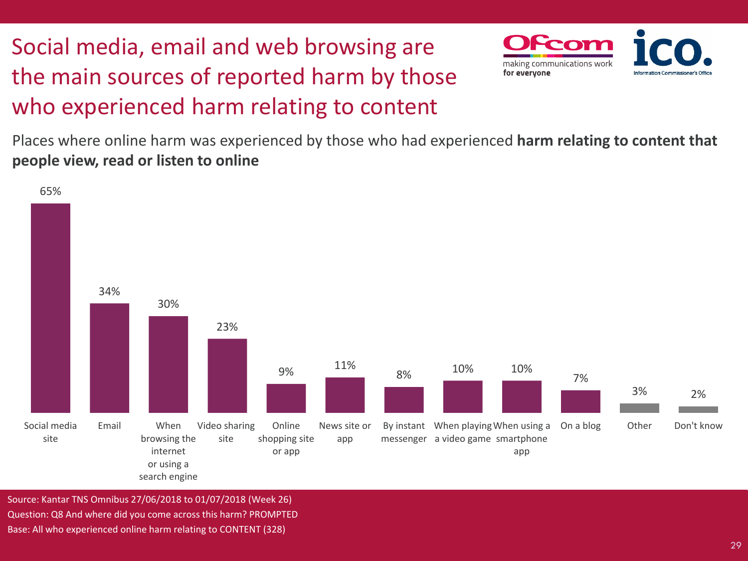# Social media, email and web browsing are the main sources of reported harm by those who experienced harm relating to content



Places where online harm was experienced by those who had experienced **harm relating to content that people view, read or listen to online**



Source: Kantar TNS Omnibus 27/06/2018 to 01/07/2018 (Week 26) Question: Q8 And where did you come across this harm? PROMPTED Base: All who experienced online harm relating to CONTENT (328)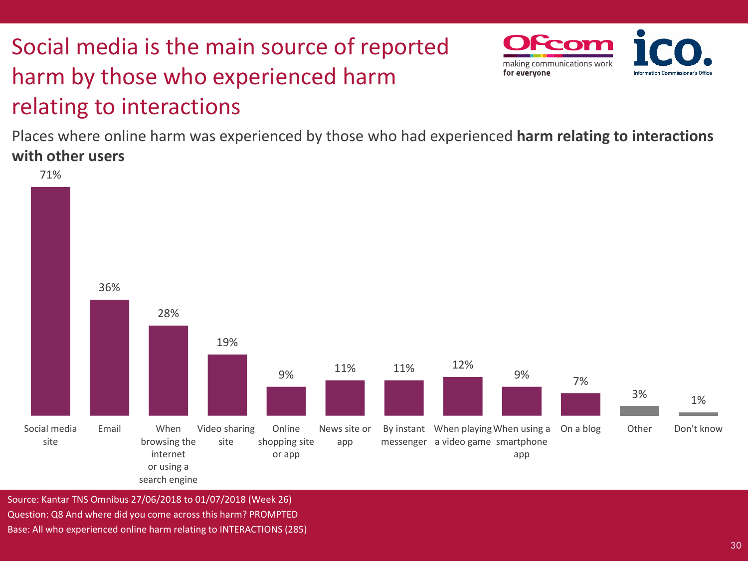# Social media is the main source of reported harm by those who experienced harm relating to interactions



Places where online harm was experienced by those who had experienced **harm relating to interactions with other users**



Source: Kantar TNS Omnibus 27/06/2018 to 01/07/2018 (Week 26) Question: Q8 And where did you come across this harm? PROMPTED Base: All who experienced online harm relating to INTERACTIONS (285)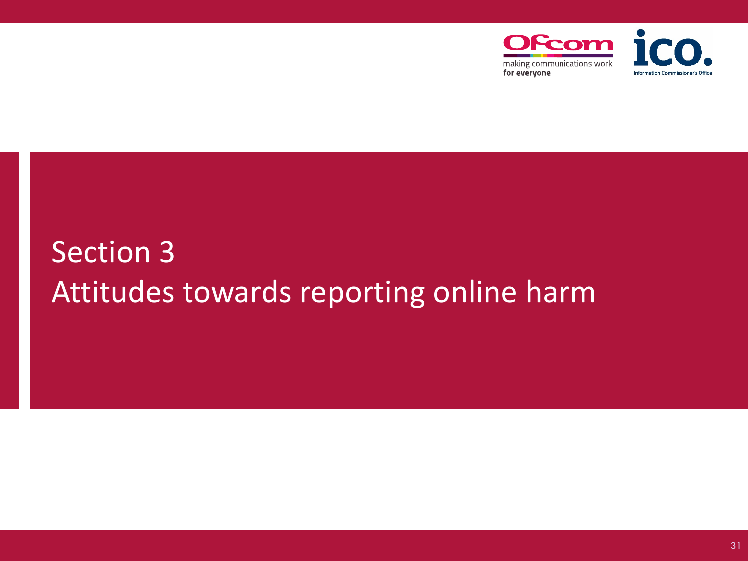

# Section 3 Attitudes towards reporting online harm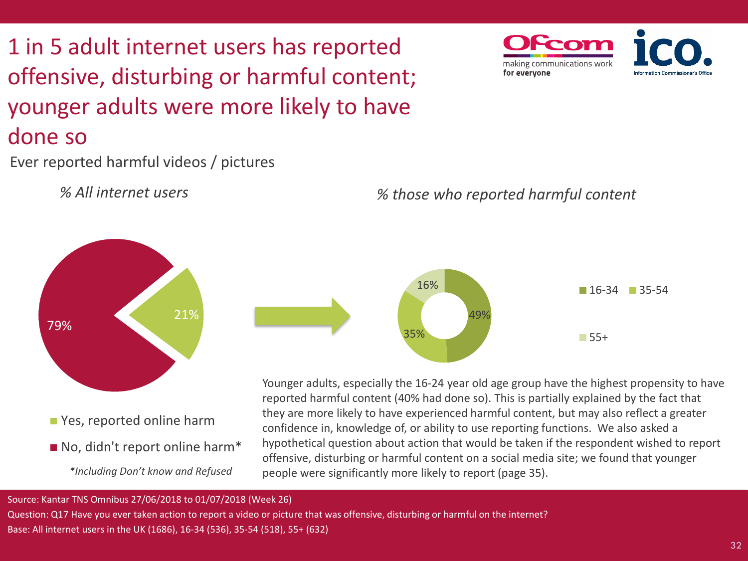# 1 in 5 adult internet users has reported offensive, disturbing or harmful content; younger adults were more likely to have done so

Ever reported harmful videos / pictures

79%





Younger adults, especially the 16-24 year old age group have the highest propensity to have reported harmful content (40% had done so). This is partially explained by the fact that they are more likely to have experienced harmful content, but may also reflect a greater confidence in, knowledge of, or ability to use reporting functions. We also asked a hypothetical question about action that would be taken if the respondent wished to report offensive, disturbing or harmful content on a social media site; we found that younger people were significantly more likely to report (page 35).

#### Source: Kantar TNS Omnibus 27/06/2018 to 01/07/2018 (Week 26)

*\*Including Don't know and Refused* 

No, didn't report online harm\*

PYes, reported online harm

21%

Question: Q17 Have you ever taken action to report a video or picture that was offensive, disturbing or harmful on the internet? Base: All internet users in the UK (1686), 16-34 (536), 35-54 (518), 55+ (632)

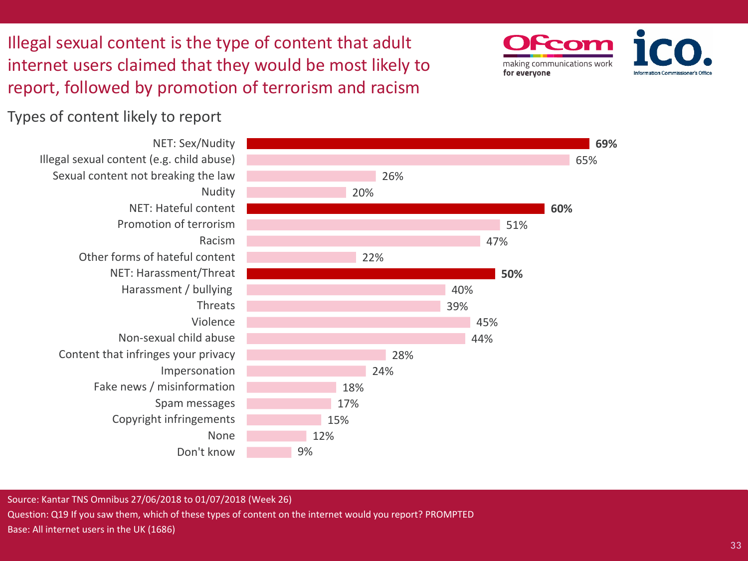Illegal sexual content is the type of content that adult internet users claimed that they would be most likely to report, followed by promotion of terrorism and racism



Types of content likely to report



Source: Kantar TNS Omnibus 27/06/2018 to 01/07/2018 (Week 26) Question: Q19 If you saw them, which of these types of content on the internet would you report? PROMPTED Base: All internet users in the UK (1686)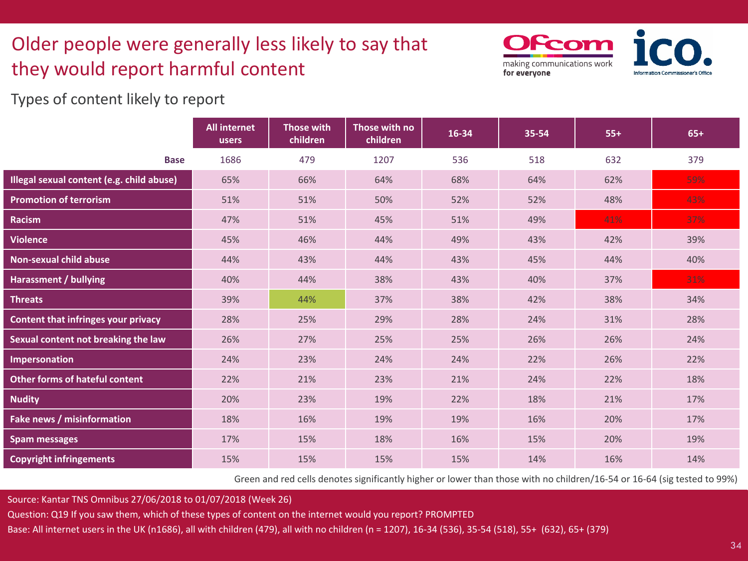## Older people were generally less likely to say that they would report harmful content

Scon making communications work for everyone

Types of content likely to report

|                                            | <b>All internet</b><br>users | Those with<br>children | Those with no<br>children | 16-34 | 35-54 | $55+$ | $65+$ |
|--------------------------------------------|------------------------------|------------------------|---------------------------|-------|-------|-------|-------|
| <b>Base</b>                                | 1686                         | 479                    | 1207                      | 536   | 518   | 632   | 379   |
| Illegal sexual content (e.g. child abuse)  | 65%                          | 66%                    | 64%                       | 68%   | 64%   | 62%   | 59%   |
| <b>Promotion of terrorism</b>              | 51%                          | 51%                    | 50%                       | 52%   | 52%   | 48%   | 43%   |
| <b>Racism</b>                              | 47%                          | 51%                    | 45%                       | 51%   | 49%   | 41%   | 37%   |
| <b>Violence</b>                            | 45%                          | 46%                    | 44%                       | 49%   | 43%   | 42%   | 39%   |
| <b>Non-sexual child abuse</b>              | 44%                          | 43%                    | 44%                       | 43%   | 45%   | 44%   | 40%   |
| <b>Harassment / bullying</b>               | 40%                          | 44%                    | 38%                       | 43%   | 40%   | 37%   | 31%   |
| <b>Threats</b>                             | 39%                          | 44%                    | 37%                       | 38%   | 42%   | 38%   | 34%   |
| <b>Content that infringes your privacy</b> | 28%                          | 25%                    | 29%                       | 28%   | 24%   | 31%   | 28%   |
| Sexual content not breaking the law        | 26%                          | 27%                    | 25%                       | 25%   | 26%   | 26%   | 24%   |
| <b>Impersonation</b>                       | 24%                          | 23%                    | 24%                       | 24%   | 22%   | 26%   | 22%   |
| <b>Other forms of hateful content</b>      | 22%                          | 21%                    | 23%                       | 21%   | 24%   | 22%   | 18%   |
| <b>Nudity</b>                              | 20%                          | 23%                    | 19%                       | 22%   | 18%   | 21%   | 17%   |
| Fake news / misinformation                 | 18%                          | 16%                    | 19%                       | 19%   | 16%   | 20%   | 17%   |
| <b>Spam messages</b>                       | 17%                          | 15%                    | 18%                       | 16%   | 15%   | 20%   | 19%   |
| <b>Copyright infringements</b>             | 15%                          | 15%                    | 15%                       | 15%   | 14%   | 16%   | 14%   |

Green and red cells denotes significantly higher or lower than those with no children/16-54 or 16-64 (sig tested to 99%)

Source: Kantar TNS Omnibus 27/06/2018 to 01/07/2018 (Week 26)

Question: Q19 If you saw them, which of these types of content on the internet would you report? PROMPTED

Base: All internet users in the UK (n1686), all with children (479), all with no children (n = 1207), 16-34 (536), 35-54 (518), 55+ (632), 65+ (379)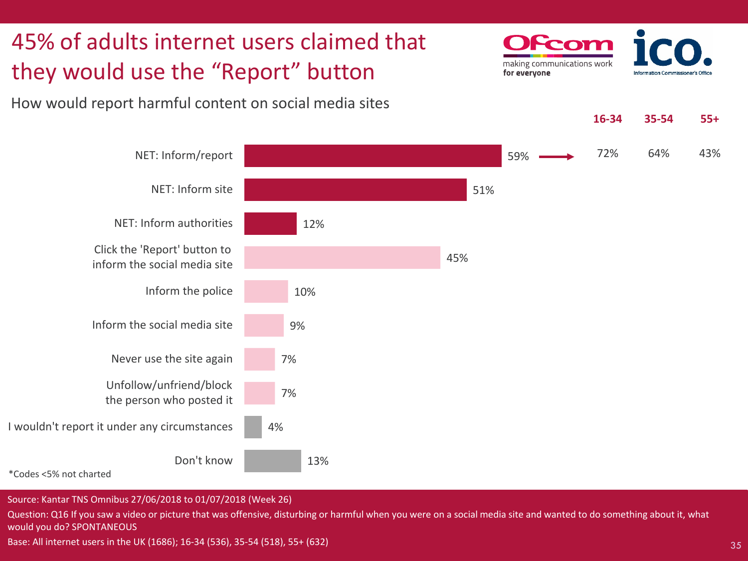

Source: Kantar TNS Omnibus 27/06/2018 to 01/07/2018 (Week 26)

Question: Q16 If you saw a video or picture that was offensive, disturbing or harmful when you were on a social media site and wanted to do something about it, what would you do? SPONTANEOUS

Base: All internet users in the UK (1686); 16-34 (536), 35-54 (518), 55+ (632)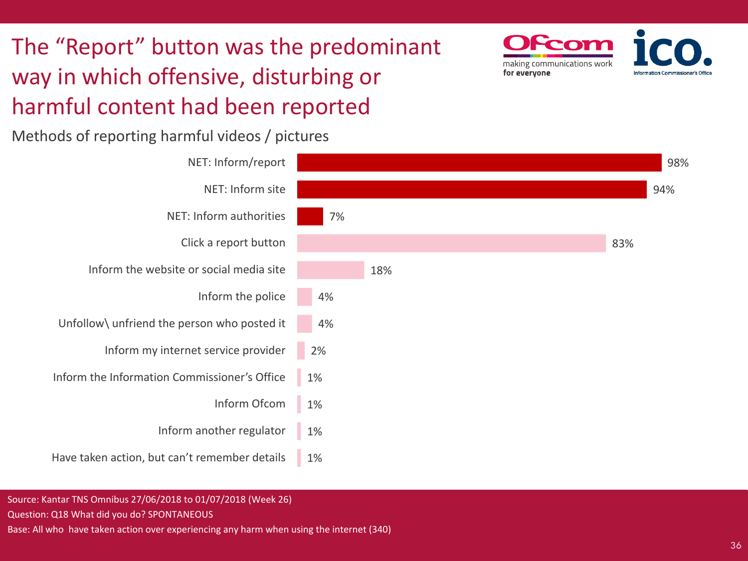# The "Report" button was the predominant way in which offensive, disturbing or harmful content had been reported



making communications work

for everyone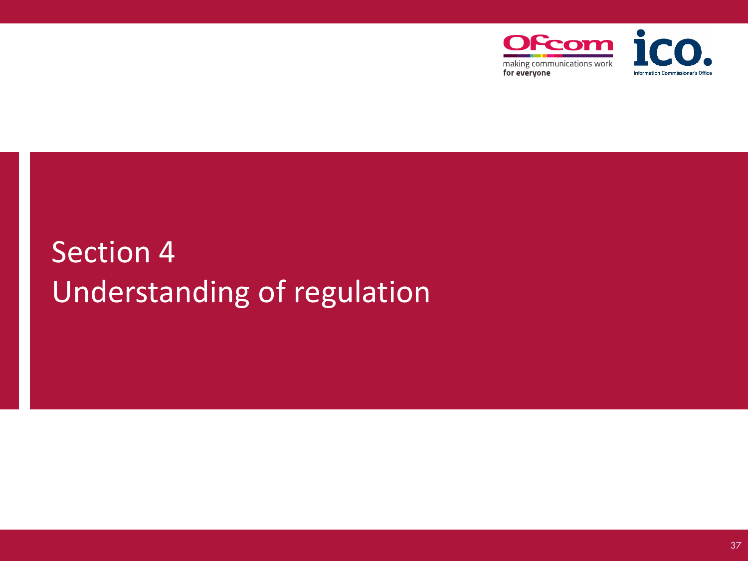

# Section 4 Understanding of regulation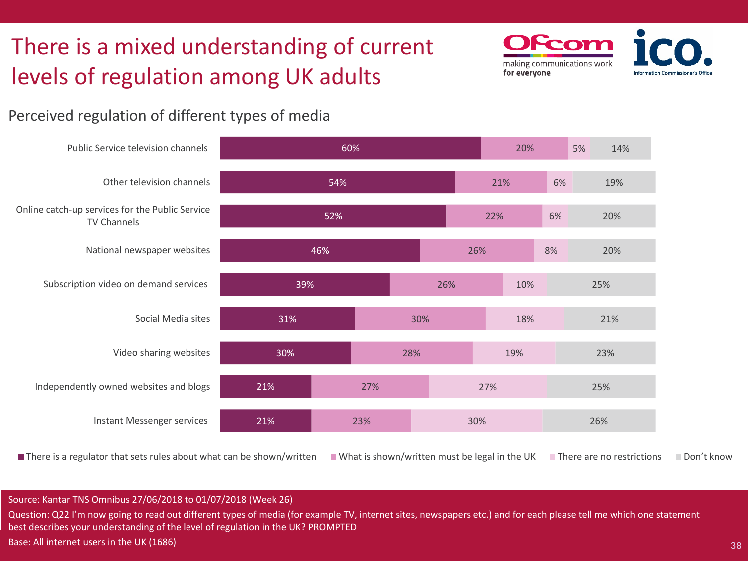# There is a mixed understanding of current levels of regulation among UK adults



### Perceived regulation of different types of media



■ There is a regulator that sets rules about what can be shown/written ■ What is shown/written must be legal in the UK ■ There are no restrictions ■ Don't know

#### Source: Kantar TNS Omnibus 27/06/2018 to 01/07/2018 (Week 26)

Question: Q22 I'm now going to read out different types of media (for example TV, internet sites, newspapers etc.) and for each please tell me which one statement best describes your understanding of the level of regulation in the UK? PROMPTED

Base: All internet users in the UK (1686)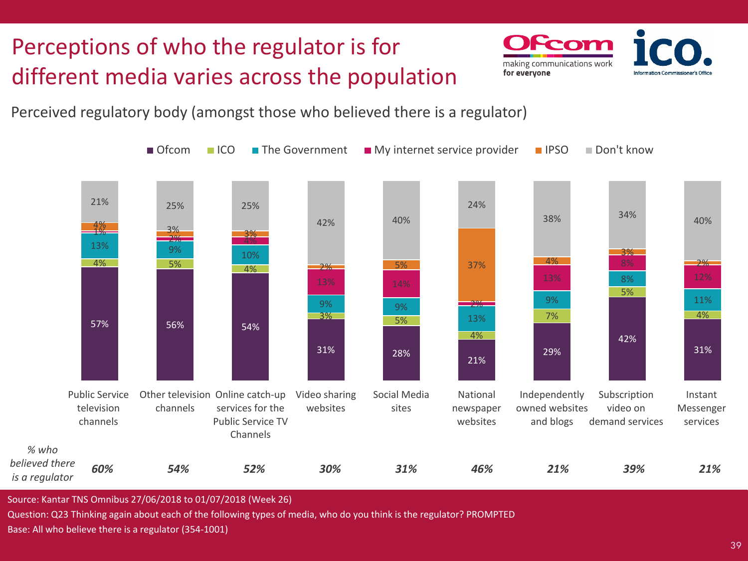# Perceptions of who the regulator is for different media varies across the population



Perceived regulatory body (amongst those who believed there is a regulator)



Source: Kantar TNS Omnibus 27/06/2018 to 01/07/2018 (Week 26)

Question: Q23 Thinking again about each of the following types of media, who do you think is the regulator? PROMPTED Base: All who believe there is a regulator (354-1001)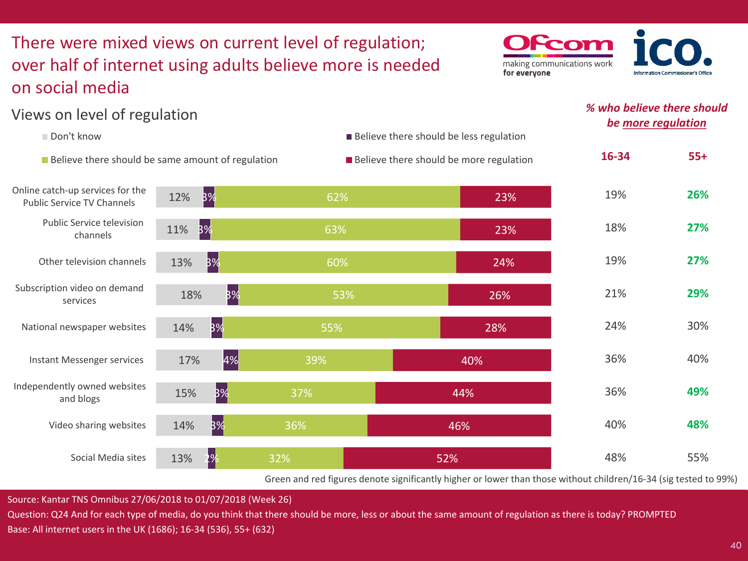### There were mixed views on current level of regulation; over half of internet using adults believe more is needed on social media



### *% who believe there should be more regulation*



Green and red figures denote significantly higher or lower than those without children/16-34 (sig tested to 99%)

Source: Kantar TNS Omnibus 27/06/2018 to 01/07/2018 (Week 26)

Views on level of regulation

Question: Q24 And for each type of media, do you think that there should be more, less or about the same amount of regulation as there is today? PROMPTED Base: All internet users in the UK (1686); 16-34 (536), 55+ (632)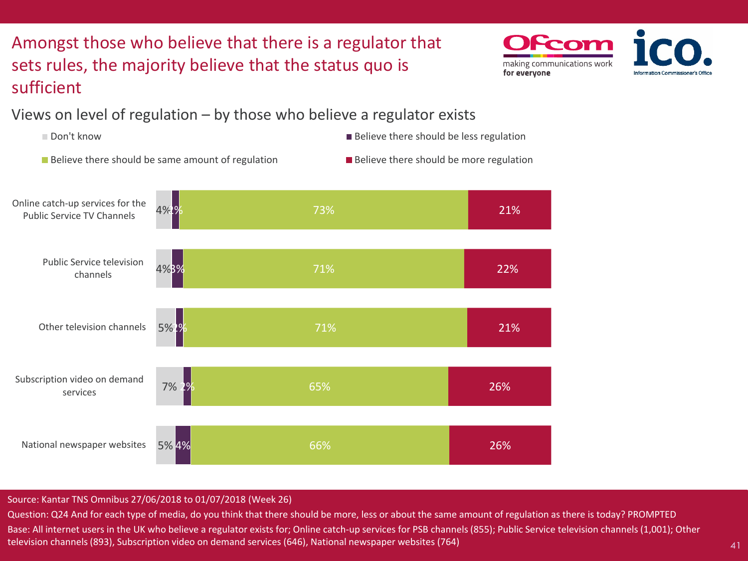## Amongst those who believe that there is a regulator that sets rules, the majority believe that the status quo is sufficient



Views on level of regulation – by those who believe a regulator exists



Source: Kantar TNS Omnibus 27/06/2018 to 01/07/2018 (Week 26)

Question: Q24 And for each type of media, do you think that there should be more, less or about the same amount of regulation as there is today? PROMPTED Base: All internet users in the UK who believe a regulator exists for; Online catch-up services for PSB channels (855); Public Service television channels (1,001); Other television channels (893), Subscription video on demand services (646), National newspaper websites (764)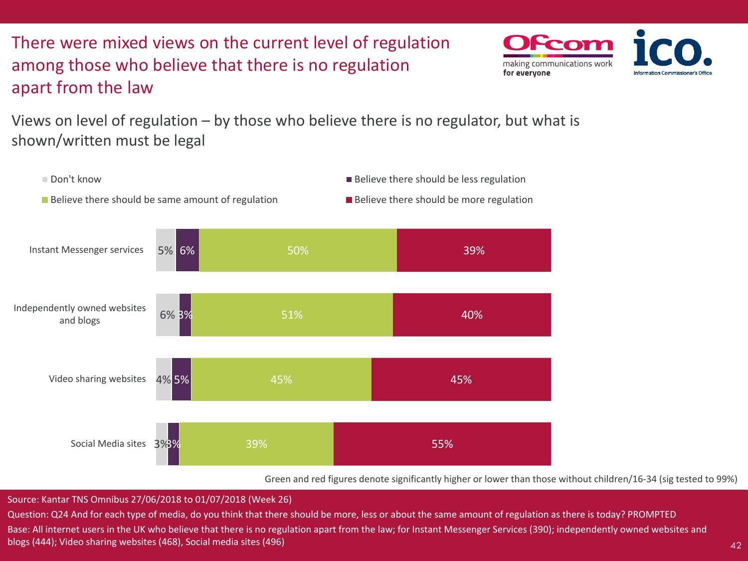There were mixed views on the current level of regulation among those who believe that there is no regulation apart from the law



Views on level of regulation – by those who believe there is no regulator, but what is shown/written must be legal



Green and red figures denote significantly higher or lower than those without children/16-34 (sig tested to 99%)

Source: Kantar TNS Omnibus 27/06/2018 to 01/07/2018 (Week 26)

Question: Q24 And for each type of media, do you think that there should be more, less or about the same amount of regulation as there is today? PROMPTED Base: All internet users in the UK who believe that there is no regulation apart from the law; for Instant Messenger Services (390); independently owned websites and blogs (444); Video sharing websites (468), Social media sites (496)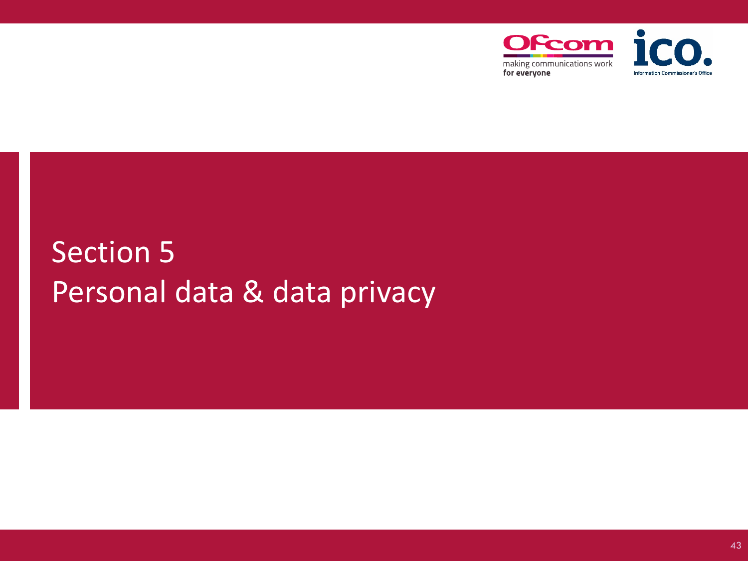

# Section 5 Personal data & data privacy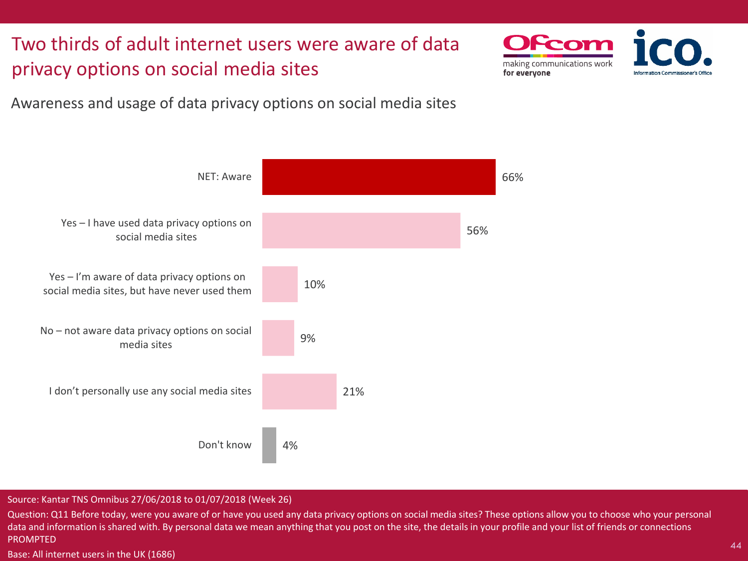Two thirds of adult internet users were aware of data privacy options on social media sites



Awareness and usage of data privacy options on social media sites



#### Source: Kantar TNS Omnibus 27/06/2018 to 01/07/2018 (Week 26)

Question: Q11 Before today, were you aware of or have you used any data privacy options on social media sites? These options allow you to choose who your personal data and information is shared with. By personal data we mean anything that you post on the site, the details in your profile and your list of friends or connections PROMPTED

Base: All internet users in the UK (1686)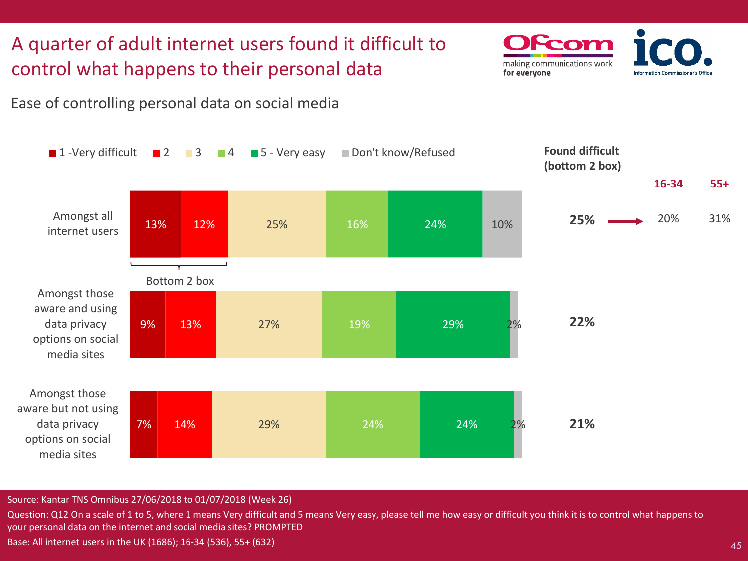## A quarter of adult internet users found it difficult to control what happens to their personal data

Ease of controlling personal data on social media



making communications work

for everyone

Source: Kantar TNS Omnibus 27/06/2018 to 01/07/2018 (Week 26)

Question: Q12 On a scale of 1 to 5, where 1 means Very difficult and 5 means Very easy, please tell me how easy or difficult you think it is to control what happens to your personal data on the internet and social media sites? PROMPTED Base: All internet users in the UK (1686); 16-34 (536), 55+ (632)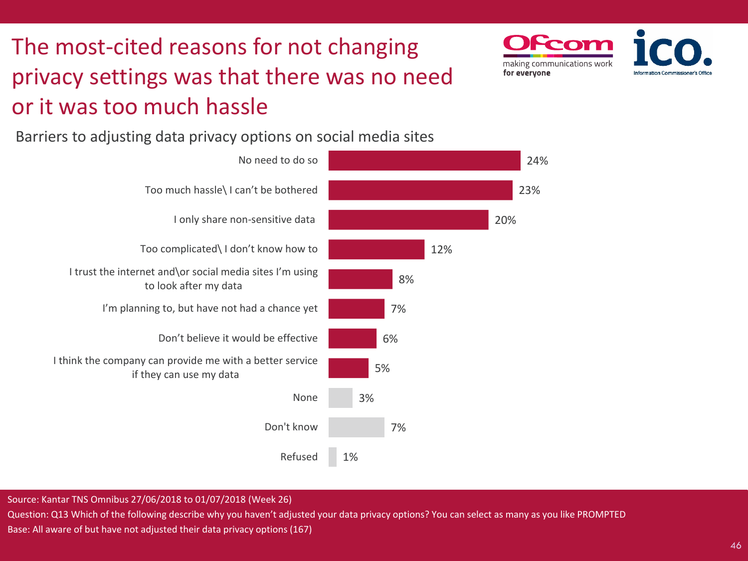# The most-cited reasons for not changing privacy settings was that there was no need or it was too much hassle

Barriers to adjusting data privacy options on social media sites



Source: Kantar TNS Omnibus 27/06/2018 to 01/07/2018 (Week 26)

Question: Q13 Which of the following describe why you haven't adjusted your data privacy options? You can select as many as you like PROMPTED Base: All aware of but have not adjusted their data privacy options (167)

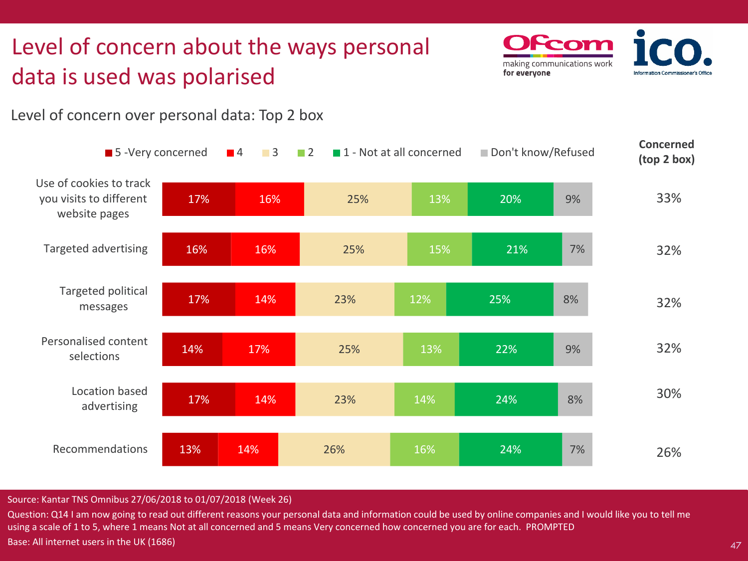## Level of concern about the ways personal data is used was polarised



Level of concern over personal data: Top 2 box



#### Source: Kantar TNS Omnibus 27/06/2018 to 01/07/2018 (Week 26)

Question: Q14 I am now going to read out different reasons your personal data and information could be used by online companies and I would like you to tell me using a scale of 1 to 5, where 1 means Not at all concerned and 5 means Very concerned how concerned you are for each. PROMPTED Base: All internet users in the UK (1686)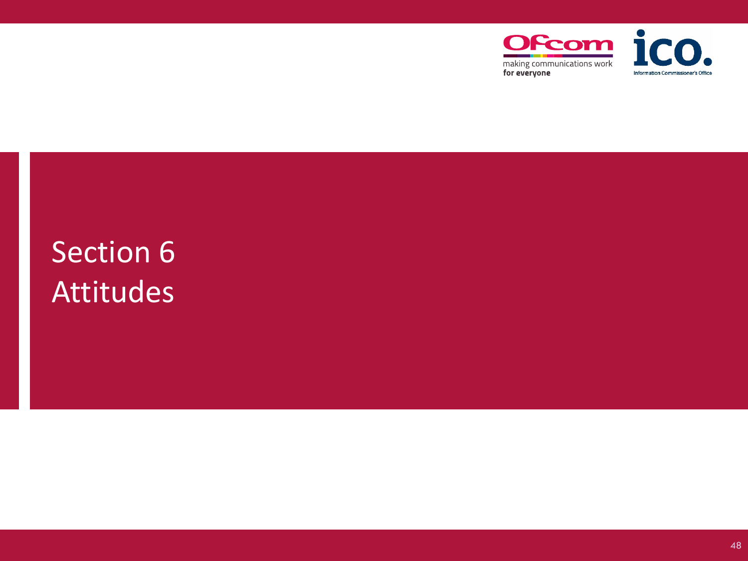

# Section 6 Attitudes